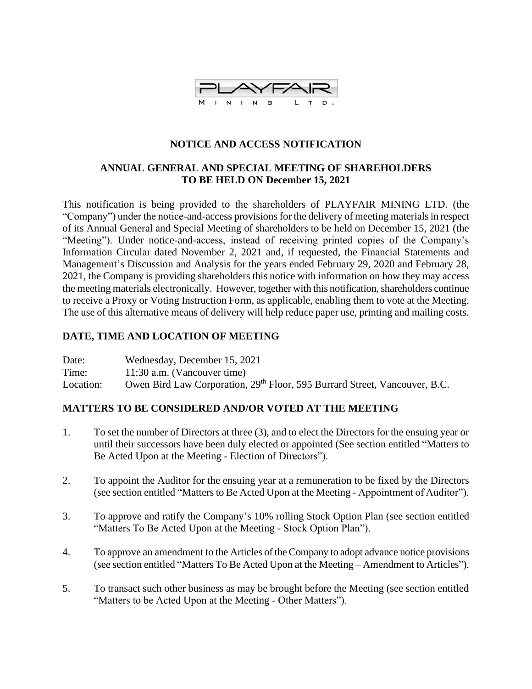

# **NOTICE AND ACCESS NOTIFICATION**

## **ANNUAL GENERAL AND SPECIAL MEETING OF SHAREHOLDERS TO BE HELD ON December 15, 2021**

This notification is being provided to the shareholders of PLAYFAIR MINING LTD. (the "Company") under the notice-and-access provisions for the delivery of meeting materials in respect of its Annual General and Special Meeting of shareholders to be held on December 15, 2021 (the "Meeting"). Under notice-and-access, instead of receiving printed copies of the Company's Information Circular dated November 2, 2021 and, if requested, the Financial Statements and Management's Discussion and Analysis for the years ended February 29, 2020 and February 28, 2021, the Company is providing shareholders this notice with information on how they may access the meeting materials electronically. However, together with this notification, shareholders continue to receive a Proxy or Voting Instruction Form, as applicable, enabling them to vote at the Meeting. The use of this alternative means of delivery will help reduce paper use, printing and mailing costs.

## **DATE, TIME AND LOCATION OF MEETING**

Date: Wednesday, December 15, 2021 Time: 11:30 a.m. (Vancouver time) Location: Owen Bird Law Corporation, 29<sup>th</sup> Floor, 595 Burrard Street, Vancouver, B.C.

## **MATTERS TO BE CONSIDERED AND/OR VOTED AT THE MEETING**

- 1. To set the number of Directors at three (3), and to elect the Directors for the ensuing year or until their successors have been duly elected or appointed (See section entitled "Matters to Be Acted Upon at the Meeting - Election of Directors").
- 2. To appoint the Auditor for the ensuing year at a remuneration to be fixed by the Directors (see section entitled "Matters to Be Acted Upon at the Meeting - Appointment of Auditor").
- 3. To approve and ratify the Company's 10% rolling Stock Option Plan (see section entitled "Matters To Be Acted Upon at the Meeting - Stock Option Plan").
- 4. To approve an amendment to the Articles of the Company to adopt advance notice provisions (see section entitled "Matters To Be Acted Upon at the Meeting – Amendment to Articles").
- 5. To transact such other business as may be brought before the Meeting (see section entitled "Matters to be Acted Upon at the Meeting - Other Matters").